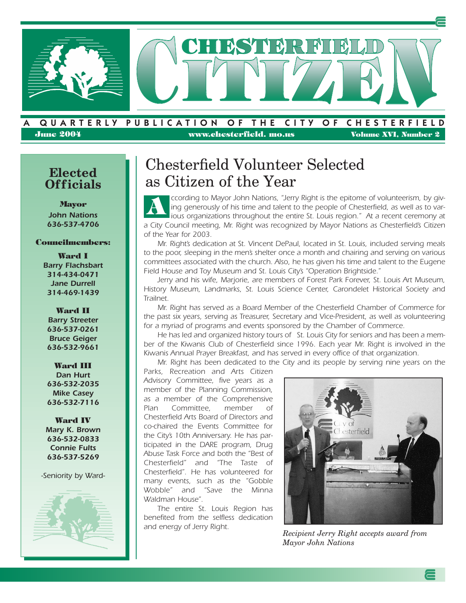

#### **A . QUARTERLY . PUBLICATION . O F . THE . CITY . O F . CHESTERFIELD June 2004 www.chesterfield. mo.us Volume XVI, Number 2**

# **Officials**

**Mayor** *John Nations 636-537-4706*

#### **Councilmembers:**

**Ward I** *Barry Flachsbart 314-434-0471 Jane Durrell 314-469-1439*

**Ward II** *Barry Streeter 636-537-0261 Bruce Geiger 636-532-9661*

**Ward III** *Dan Hurt 636-532-2035 Mike Casey 636-532-7116*

**Ward IV** *Mary K. Brown 636-532-0833 Connie Fults 636-537-5269*

*-Seniority by Ward-*



### Chesterfield Volunteer Selected Elected **Elected** as Citizen of the Year

*ccording to Mayor John Nations, "Jerry Right is the epitome of volunteerism, by giving generously of his time and talent to the people of Chesterfield, as well as to various organizations throughout the entire St. Louis region." At a recent ceremony at a City Council meeting, Mr. Right was recognized by Mayor Nations as Chesterfield's Citizen of the Year for 2003.* **A**

*Mr. Right's dedication at St. Vincent DePaul, located in St. Louis, included serving meals to the poor, sleeping in the men's shelter once a month and chairing and serving on various committees associated with the church. Also, he has given his time and talent to the Eugene Field House and Toy Museum and St. Louis City's "Operation Brightside."*

*Jerry and his wife, Marjorie, are members of Forest Park Forever, St. Louis Art Museum, History Museum, Landmarks, St. Louis Science Center, Carondelet Historical Society and Trailnet.*

*Mr. Right has served as a Board Member of the Chesterfield Chamber of Commerce for the past six years, serving as Treasurer, Secretary and Vice-President, as well as volunteering for a myriad of programs and events sponsored by the Chamber of Commerce.*

*He has led and organized history tours of St. Louis City for seniors and has been a member of the Kiwanis Club of Chesterfield since 1996. Each year Mr. Right is involved in the Kiwanis Annual Prayer Breakfast, and has served in every office of that organization.*

*Mr. Right has been dedicated to the City and its people by serving nine years on the*

*Parks, Recreation and Arts Citizen Advisory Committee, five years as a member of the Planning Commission, as a member of the Comprehensive Plan Committee, member of Chesterfield Arts Board of Directors and co-chaired the Events Committee for the City's 10th Anniversary. He has participated in the DARE program, Drug Abuse Task Force and both the "Best of Chesterfield" and "The Taste of Chesterfield". He has volunteered for many events, such as the "Gobble Wobble" and "Save the Minna Waldman House".* 

*The entire St. Louis Region has benefited from the selfless dedication and energy of Jerry Right.*



*Recipient Jerry Right accepts award from Mayor John Nations*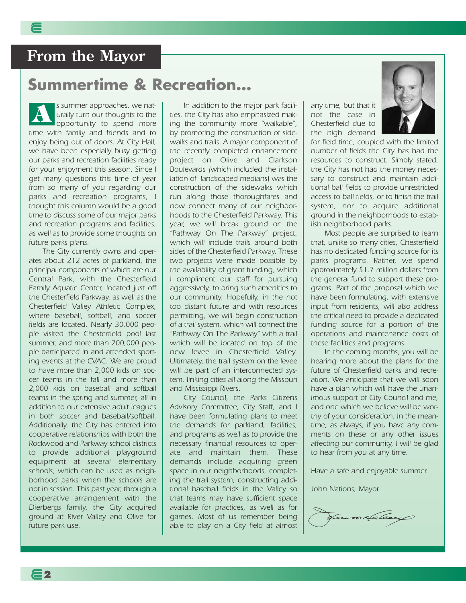### **From the Mayor**

### **Summertime & Recreation…**

*s summer approaches, we naturally turn our thoughts to the opportunity to spend more time with family and friends and to enjoy being out of doors. At City Hall, we have been especially busy getting our parks and recreation facilities ready for your enjoyment this season. Since I get many questions this time of year from so many of you regarding our parks and recreation programs, I thought this column would be a good time to discuss some of our major parks and recreation programs and facilities, as well as to provide some thoughts on future parks plans.* **A**

*The City currently owns and operates about 212 acres of parkland, the principal components of which are our Central Park, with the Chesterfield Family Aquatic Center, located just off the Chesterfield Parkway, as well as the Chesterfield Valley Athletic Complex, where baseball, softball, and soccer fields are located. Nearly 30,000 people visited the Chesterfield pool last summer, and more than 200,000 people participated in and attended sporting events at the CVAC. We are proud to have more than 2,000 kids on soccer teams in the fall and more than 2,000 kids on baseball and softball teams in the spring and summer, all in addition to our extensive adult leagues in both soccer and baseball/softball. Additionally, the City has entered into cooperative relationships with both the Rockwood and Parkway school districts to provide additional playground equipment at several elementary schools, which can be used as neighborhood parks when the schools are not in session. This past year, through a cooperative arrangement with the Dierbergs family, the City acquired ground at River Valley and Olive for future park use.*

*In addition to the major park facilities, the City has also emphasized making the community more "walkable", by promoting the construction of sidewalks and trails. A major component of the recently completed enhancement project on Olive and Clarkson Boulevards (which included the installation of landscaped medians) was the construction of the sidewalks which run along those thoroughfares and now connect many of our neighborhoods to the Chesterfield Parkway. This year, we will break ground on the "Pathway On The Parkway" project, which will include trails around both sides of the Chesterfield Parkway. These two projects were made possible by the availability of grant funding, which I compliment our staff for pursuing aggressively, to bring such amenities to our community. Hopefully, in the not too distant future and with resources permitting, we will begin construction of a trail system, which will connect the "Pathway On The Parkway" with a trail which will be located on top of the new levee in Chesterfield Valley. Ultimately, the trail system on the levee will be part of an interconnected system, linking cities all along the Missouri and Mississippi Rivers.*

*City Council, the Parks Citizens Advisory Committee, City Staff, and I have been formulating plans to meet the demands for parkland, facilities, and programs as well as to provide the necessary financial resources to operate and maintain them. These demands include acquiring green space in our neighborhoods, completing the trail system, constructing additional baseball fields in the Valley so that teams may have sufficient space available for practices, as well as for games. Most of us remember being able to play on a City field at almost* *any time, but that it not the case in Chesterfield due to the high demand*



*for field time, coupled with the limited number of fields the City has had the resources to construct. Simply stated, the City has not had the money necessary to construct and maintain additional ball fields to provide unrestricted access to ball fields, or to finish the trail system, nor to acquire additional ground in the neighborhoods to establish neighborhood parks.*

*Most people are surprised to learn that, unlike so many cities, Chesterfield has no dedicated funding source for its parks programs. Rather, we spend approximately \$1.7 million dollars from the general fund to support these programs. Part of the proposal which we have been formulating, with extensive input from residents, will also address the critical need to provide a dedicated funding source for a portion of the operations and maintenance costs of these facilities and programs.*

*In the coming months, you will be hearing more about the plans for the future of Chesterfield parks and recreation. We anticipate that we will soon have a plan which will have the unanimous support of City Council and me, and one which we believe will be worthy of your consideration. In the meantime, as always, if you have any comments on these or any other issues affecting our community, I will be glad to hear from you at any time.*

*Have a safe and enjoyable summer.*

*John Nations, Mayor*

m×falese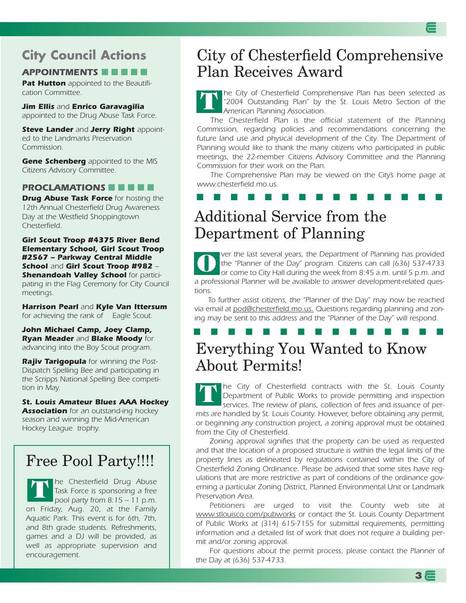### **City Council Actions**

#### *APPOINTMENTS* **■ ■ ■ ■ ■**

*Pat Hutton appointed to the Beautification Committee.*

*Jim Ellis and Enrico Garavagilia appointed to the Drug Abuse Task Force.*

*Steve Lander and Jerry Right appointed to the Landmarks Preservation Commission.*

*Gene Schenberg appointed to the MIS Citizens Advisory Committee.*

#### *PROCLAMATIONS* **■ ■ ■ ■ ■**

*Drug Abuse Task Force for hosting the 12th Annual Chesterfield Drug Awareness Day at the Westfield Shoppingtown Chesterfield.*

*Girl Scout Troop #4375 River Bend Elementary School, Girl Scout Troop #2567 – Parkway Central Middle School and Girl Scout Troop #982 – Shenandoah Valley School for participating in the Flag Ceremony for City Council meetings.*

*Harrison Pearl and Kyle Van Ittersum for achieving the rank of Eagle Scout.*

*John Michael Camp, Joey Clamp, Ryan Meader and Blake Moody for advancing into the Boy Scout program.*

*Rajiv Tarigopula for winning the Post-Dispatch Spelling Bee and participating in the Scripps National Spelling Bee competition in May.*

*St. Louis Amateur Blues AAA Hockey Association for an outstand-ing hockey season and winning the Mid-American Hockey League trophy.*

### Free Pool Party!!!!

*he Chesterfield Drug Abuse Task Force is sponsoring a free pool party from 8:15 – 11 p.m. on Friday, Aug. 20, at the Family Aquatic Park. This event is for 6th, 7th, and 8th grade students. Refreshments, games and a DJ will be provided, as well as appropriate supervision and encouragement.* **T**

### City of Chesterfield Comprehensive Plan Receives Award

*he City of Chesterfield Comprehensive Plan has been selected as "2004 Outstanding Plan" by the St. Louis Metro Section of the American Planning Association.*  **T**

*The Chesterfield Plan is the official statement of the Planning Commission, regarding policies and recommendations concerning the future land use and physical development of the City. The Department of Planning would like to thank the many citizens who participated in public meetings, the 22-member Citizens Advisory Committee and the Planning Commission for their work on the Plan.* 

*The Comprehensive Plan may be viewed on the City's home page at www.chesterfield.mo.us.* 

### **■ ■ ■ ■ ■ ■ ■ ■ ■ ■ ■ ■ ■ ■ ■**

### Additional Service from the Department of Planning

*ver the last several years, the Department of Planning has provided the "Planner of the Day" program. Citizens can call (636) 537-4733 or come to City Hall during the week from 8:45 a.m. until 5 p.m. and a professional Planner will be available to answer development-related questions.*  **O**

*To further assist citizens, the "Planner of the Day" may now be reached via email at pod@chesterfield.mo.us. Questions regarding planning and zon*ing may be sent to this address and the "Planner of the Day" will respond.

#### **■ ■ ■ ■ ■ ■ ■ ■ ■ ■ ■ ■ ■ ■ ■**

### Everything You Wanted to Know About Permits!

*he City of Chesterfield contracts with the St. Louis County Department of Public Works to provide permitting and inspection services. The review of plans, collection of fees and issuance of permits are handled by St. Louis County. However, before obtaining any permit, or beginning any construction project, a zoning approval must be obtained from the City of Chesterfield.*  **T**

*Zoning approval signifies that the property can be used as requested and that the location of a proposed structure is within the legal limits of the property lines as delineated by regulations contained within the City of Chesterfield Zoning Ordinance. Please be advised that some sites have regulations that are more restrictive as part of conditions of the ordinance governing a particular Zoning District, Planned Environmental Unit or Landmark Preservation Area.*

*Petitioners are urged to visit the County web site at www.stlouisco.com/pubworks or contact the St. Louis County Department of Public Works at (314) 615-7155 for submittal requirements, permitting information and a detailed list of work that does not require a building permit and/or zoning approval.*

*For questions about the permit process, please contact the Planner of the Day at (636) 537-4733.*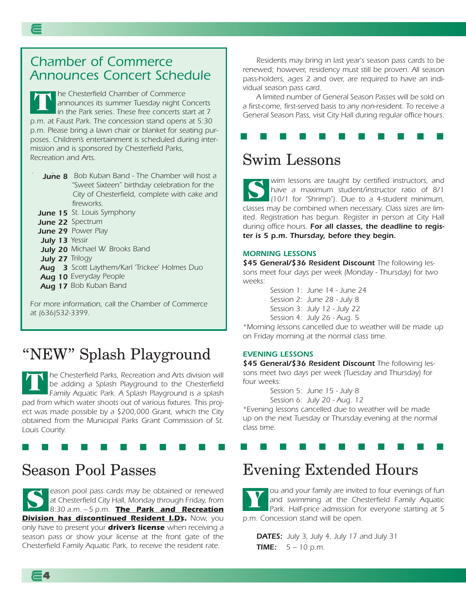### *Chamber of Commerce Announces Concert Schedule*

*he Chesterfield Chamber of Commerce announces its summer Tuesday night Concerts in the Park series. These free concerts start at 7 p.m. at Faust Park. The concession stand opens at 5:30 p.m. Please bring a lawn chair or blanket for seating purposes. Children's entertainment is scheduled during intermission and is sponsored by Chesterfield Parks, Recreation and Arts.*  **T**

*June 8 Bob Kuban Band - The Chamber will host a June 8 "Sweet Sixteen" birthday celebration for the City of Chesterfield, complete with cake and fireworks.*

*June 15 St. Louis Symphony June 15*

*June 22 Spectrum June 22*

*June 29 Power Play June 29*

*July 13 Yessir July 13*

- *July 20 Michael W. Brooks Band July 20*
- *July 27 Trilogy July 27*
- *August 3 Scott Laythem/Karl 'Trickee' Holmes Duo Aug 3*
- **Aug 10** Everyday People
- **Aug 17** Bob Kuban Band

*For more information, call the Chamber of Commerce at (636)532-3399.*

### "NEW" Splash Playground

*he Chesterfield Parks, Recreation and Arts division will be adding a Splash Playground to the Chesterfield Family Aquatic Park. A Splash Playground is a splash pad from which water shoots out of various fixtures. This project was made possible by a \$200,000 Grant, which the City obtained from the Municipal Parks Grant Commission of St. Louis County.*  **T**

**■ ■ ■ ■ ■ ■ ■ ■ ■ ■ ■** 

### Season Pool Passes

**4**

*eason pool pass cards may be obtained or renewed at Chesterfield City Hall, Monday through Friday, from 8:30 a.m. – 5 p.m. The Park and Recreation Division has discontinued Resident I.D's. Now, you only have to present your driver's license when receiving a season pass or show your license at the front gate of the Chesterfield Family Aquatic Park, to receive the resident rate.* **S**

*Residents may bring in last year's season pass cards to be renewed; however, residency must still be proven. All season pass-holders, ages 2 and over, are required to have an individual season pass card.* 

*A limited number of General Season Passes will be sold on a first-come, first-served basis to any non-resident. To receive a General Season Pass, visit City Hall during regular office hours.*

### **■ ■ ■ ■ ■ ■ ■ ■ ■ ■ ■**

### Swim Lessons

*wim lessons are taught by certified instructors, and have a maximum student/instructor ratio of 8/1 (10/1 for "Shrimp"). Due to a 4-student minimum, classes may be combined when necessary. Class sizes are limited. Registration has begun. Register in person at City Hall during office hours. For all classes, the deadline to register is 5 p.m. Thursday, before they begin.*  **S**

#### *MORNING LESSONS*

*\$45 General/\$36 Resident Discount The following lessons meet four days per week (Monday - Thursday) for two weeks:*

*Session 1: June 14 - June 24 Session 2: June 28 - July 8 Session 3: July 12 - July 22 Session 4: July 26 - Aug. 5*

*\*Morning lessons cancelled due to weather will be made up on Friday morning at the normal class time.*

#### *EVENING LESSONS*

*\$45 General/\$36 Resident Discount The following lessons meet two days per week (Tuesday and Thursday) for four weeks:*

*Session 5: June 15 - July 8*

*Session 6: July 20 - Aug. 12*

*\*Evening lessons cancelled due to weather will be made up on the next Tuesday or Thursday evening at the normal class time.*

**■ ■ ■ ■ ■ ■ ■ ■ ■ ■ ■** 

# Evening Extended Hours

*ou and your family are invited to four evenings of fun and swimming at the Chesterfield Family Aquatic Park. Half-price admission for everyone starting at 5 p.m. Concession stand will be open.* **Y**

*DATES: July 3, July 4, July 17 and July 31 TIME: 5 – 10 p.m.*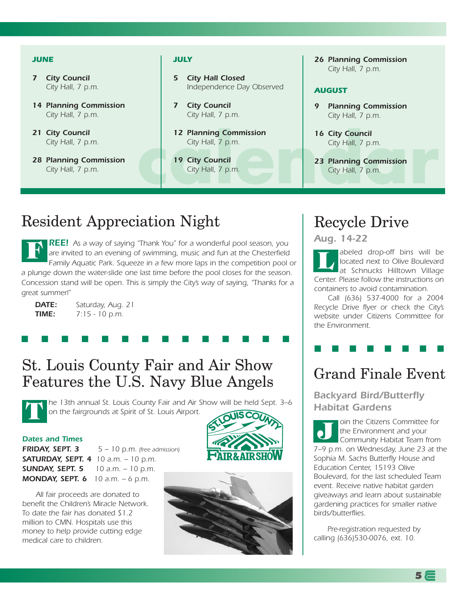#### *JUNE*

- *7 City Council City Hall, 7 p.m.*
- *14 Planning Commission City Hall, 7 p.m.*
- *21 City Council City Hall, 7 p.m.*
- *28 Planning Commission City Hall, 7 p.m.*

#### *JULY*

- *5 City Hall Closed Independence Day Observed*
- *7 City Council City Hall, 7 p.m.*
- *12 Planning Commission City Hall, 7 p.m.*
- *19 City Council City Hall, 7 p.m.*

*26 Planning Commission City Hall, 7 p.m.*

#### *AUGUST*

- *9 Planning Commission City Hall, 7 p.m.*
- *16 City Council City Hall, 7 p.m.*
- **city Hall, 7 p.m.**<br> **city Hall, 7 p.m.**<br> **city Hall, 7 p.m.**<br> **city Hall, 7 p.m.**<br> **city Hall, 7 p.m.**<br> **city Hall, 7 p.m.**<br> **city Hall, 7 p.m.**<br> **city Hall, 7 p.m.** *23 Planning Commission City Hall, 7 p.m.*

### Resident Appreciation Night

*REE! As a way of saying "Thank You" for a wonderful pool season, you are invited to an evening of swimming, music and fun at the Chesterfield Family Aquatic Park. Squeeze in a few more laps in the competition pool or a plunge down the water-slide one last time before the pool closes for the season. Concession stand will be open. This is simply the City's way of saying, "Thanks for a great summer!"* **F**

**■ ■ ■ ■ ■ ■ ■ ■ ■ ■ ■ ■ ■ ■** 

*DATE: Saturday, Aug. 21 TIME: 7:15 - 10 p.m.*

St. Louis County Fair and Air Show Features the U.S. Navy Blue Angels

*he 13th annual St. Louis County Fair and Air Show will be held Sept. 3–6 on the fairgrounds at Spirit of St. Louis Airport.* **T**

#### *Dates and Times*

*FRIDAY, SEPT. 3 5 – 10 p.m. (free admission) SATURDAY, SEPT. 4 10 a.m. – 10 p.m. SUNDAY, SEPT. 5 10 a.m. – 10 p.m. MONDAY, SEPT. 6 10 a.m. – 6 p.m.*

*All fair proceeds are donated to benefit the Children's Miracle Network. To date the fair has donated \$1.2 million to CMN. Hospitals use this money to help provide cutting edge medical care to children.*





### Recycle Drive

#### *Aug. 14-22*

*abeled drop-off bins will be located next to Olive Boulevard at Schnucks Hilltown Village Center. Please follow the instructions on containers to avoid contamination.*  **L**

*Call (636) 537-4000 for a 2004 Recycle Drive flyer or check the City's website under Citizens Committee for the Environment.*

### Grand Finale Event

**■ ■ ■ ■ ■ ■ ■ ■**

*Backyard Bird/Butterfly Habitat Gardens* 

*oin the Citizens Committee for the Environment and your Community Habitat Team from 7–9 p.m. on Wednesday, June 23 at the Sophia M. Sachs Butterfly House and Education Center, 15193 Olive Boulevard, for the last scheduled Team event. Receive native habitat garden giveaways and learn about sustainable gardening practices for smaller native birds/butterflies.*  **J**

*Pre-registration requested by calling (636)530-0076, ext. 10.*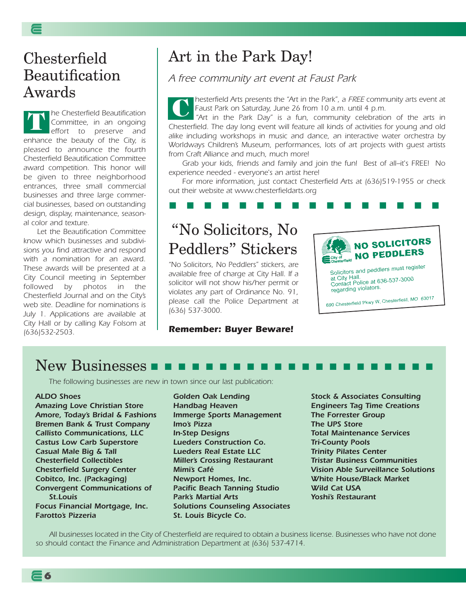### Chesterfield Beautification Awards

*he Chesterfield Beautification Committee, in an ongoing effort to preserve and enhance the beauty of the City, is pleased to announce the fourth Chesterfield Beautification Committee award competition. This honor will be given to three neighborhood entrances, three small commercial businesses and three large commercial businesses, based on outstanding design, display, maintenance, seasonal color and texture.* **T**

*Let the Beautification Committee know which businesses and subdivisions you find attractive and respond with a nomination for an award. These awards will be presented at a City Council meeting in September followed by photos in the Chesterfield Journal and on the City's web site. Deadline for nominations is July 1. Applications are available at City Hall or by calling Kay Folsom at (636)532-2503.* 

# Art in the Park Day!

*A free community art event at Faust Park*

*hesterfield Arts presents the "Art in the Park", a FREE community arts event at Faust Park on Saturday, June 26 from 10 a.m. until 4 p.m.* **C**

*"Art in the Park Day" is a fun, community celebration of the arts in Chesterfield. The day long event will feature all kinds of activities for young and old alike including workshops in music and dance, an interactive water orchestra by Worldways Children's Museum, performances, lots of art projects with guest artists from Craft Alliance and much, much more!*

*Grab your kids, friends and family and join the fun! Best of all–it's FREE! No experience needed - everyone's an artist here!* 

*For more information, just contact Chesterfield Arts at (636)519-1955 or check out their website at www.chesterfieldarts.org*

#### **■ ■ ■ ■ ■ ■ ■ ■ ■ ■ ■ ■ ■ ■ ■ ■**

# "No Solicitors, No Peddlers" Stickers

*"No Solicitors, No Peddlers" stickers, are available free of charge at City Hall. If a solicitor will not show his/her permit or violates any part of Ordinance No. 91, please call the Police Department at (636) 537-3000.*

#### *Remember: Buyer Beware!*



regarding violators.

690 Chesterfield Pkwy W, Chesterfield, MO 63017

### New Businesses **■ ■ ■ ■ ■ ■ ■ ■ ■ ■ ■ ■ ■ ■ ■ ■ ■ ■ ■ ■ ■**

*The following businesses are new in town since our last publication:*

#### *ALDO Shoes*

**6**

*Amazing Love Christian Store Amore, Today's Bridal & Fashions Bremen Bank & Trust Company Callisto Communications, LLC Castus Low Carb Superstore Casual Male Big & Tall Chesterfield Collectibles Chesterfield Surgery Center Cobitco, Inc. (Packaging) Convergent Communications of St.Louis Focus Financial Mortgage, Inc. Farotto's Pizzeria* 

*Golden Oak Lending Handbag Heaven Immerge Sports Management Imo's Pizza In-Step Designs Lueders Construction Co. Lueders Real Estate LLC Miller's Crossing Restaurant Mimi's Café Newport Homes, Inc. Pacific Beach Tanning Studio Park's Martial Arts Solutions Counseling Associates St. Louis Bicycle Co.*

*Stock & Associates Consulting Engineers Tag Time Creations The Forrester Group The UPS Store Total Maintenance Services Tri-County Pools Trinity Pilates Center Tristar Business Communities Vision Able Surveillance Solutions White House/Black Market Wild Cat USA Yoshi's Restaurant*

*All businesses located in the City of Chesterfield are required to obtain a business license. Businesses who have not done so should contact the Finance and Administration Department at (636) 537-4714.*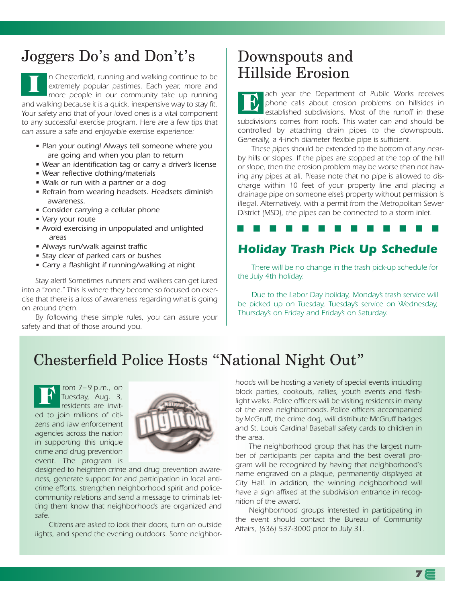# Joggers Do's and Don't's

*n Chesterfield, running and walking continue to be extremely popular pastimes. Each year, more and more people in our community take up running and walking because it is a quick, inexpensive way to stay fit. Your safety and that of your loved ones is a vital component to any successful exercise program. Here are a few tips that can assure a safe and enjoyable exercise experience:* **I**

- *Plan your outing! Always tell someone where you are going and when you plan to return*
- *Wear an identification tag or carry a driver's license*
- *Wear reflective clothing/materials*
- *Walk or run with a partner or a dog*
- *Refrain from wearing headsets. Headsets diminish awareness.*
- *Consider carrying a cellular phone*
- *Vary your route*
- *Avoid exercising in unpopulated and unlighted areas*
- *Always run/walk against traffic*
- *Stay clear of parked cars or bushes*
- *Carry a flashlight if running/walking at night*

*Stay alert! Sometimes runners and walkers can get lured into a "zone." This is where they become so focused on exercise that there is a loss of awareness regarding what is going on around them.* 

*By following these simple rules, you can assure your safety and that of those around you.*

### Downspouts and Hillside Erosion

*ach year the Department of Public Works receives phone calls about erosion problems on hillsides in established subdivisions. Most of the runoff in these subdivisions comes from roofs. This water can and should be controlled by attaching drain pipes to the downspouts. Generally, a 4-inch diameter flexible pipe is sufficient.*  **E**

*These pipes should be extended to the bottom of any nearby hills or slopes. If the pipes are stopped at the top of the hill or slope, then the erosion problem may be worse than not having any pipes at all. Please note that no pipe is allowed to discharge within 10 feet of your property line and placing a drainage pipe on someone else's property without permission is illegal. Alternatively, with a permit from the Metropolitan Sewer District (MSD), the pipes can be connected to a storm inlet.* 

#### **■ ■ ■ ■ ■ ■ ■ ■ ■ ■ ■ ■ ■**

### *Holiday Trash Pick Up Schedule*

*There will be no change in the trash pick-up schedule for the July 4th holiday.*

*Due to the Labor Day holiday, Monday's trash service will be picked up on Tuesday, Tuesday's service on Wednesday, Thursday's on Friday and Friday's on Saturday.*

### Chesterfield Police Hosts "National Night Out"

*rom 7– 9 p.m., on Tuesday, Aug. 3, residents are invited to join millions of citizens and law enforcement agencies across the nation in supporting this unique crime and drug prevention event. The program is* **F**



*designed to heighten crime and drug prevention awareness, generate support for and participation in local anticrime efforts, strengthen neighborhood spirit and policecommunity relations and send a message to criminals letting them know that neighborhoods are organized and safe.*

*Citizens are asked to lock their doors, turn on outside lights, and spend the evening outdoors. Some neighbor-*

*hoods will be hosting a variety of special events including block parties, cookouts, rallies, youth events and flashlight walks. Police officers will be visiting residents in many of the area neighborhoods. Police officers accompanied by McGruff, the crime dog, will distribute McGruff badges and St. Louis Cardinal Baseball safety cards to children in the area.* 

*The neighborhood group that has the largest number of participants per capita and the best overall program will be recognized by having that neighborhood's name engraved on a plaque, permanently displayed at City Hall. In addition, the winning neighborhood will have a sign affixed at the subdivision entrance in recognition of the award.*

*Neighborhood groups interested in participating in the event should contact the Bureau of Community Affairs, (636) 537-3000 prior to July 31.*

**7**